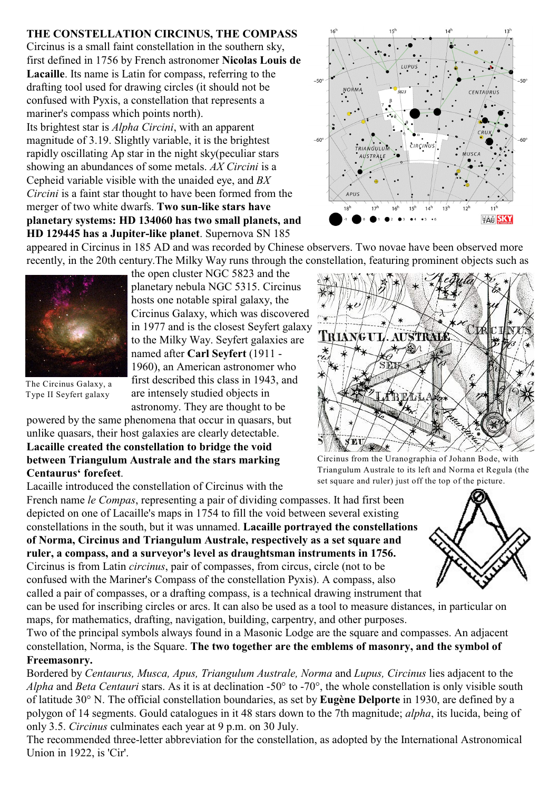# **THE CONSTELLATION CIRCINUS, THE COMPASS**

Circinus is a small faint constellation in the southern sky, first defined in 1756 by French astronomer **Nicolas Louis de Lacaille**. Its name is Latin for compass, referring to the drafting tool used for drawing circles (it should not be confused with Pyxis, a constellation that represents a mariner's compass which points north).

Its brightest star is *Alpha Circini*, with an apparent magnitude of 3.19. Slightly variable, it is the brightest rapidly oscillating Ap star in the night sky(peculiar stars showing an abundances of some metals. *AX Circini* is a Cepheid variable visible with the unaided eye, and *BX Circini* is a faint star thought to have been formed from the merger of two white dwarfs. **Two sun-like stars have planetary systems: HD 134060 has two small planets, and HD 129445 has a Jupiter-like planet**. Supernova SN 185



appeared in Circinus in 185 AD and was recorded by Chinese observers. Two novae have been observed more recently, in the 20th century.The Milky Way runs through the constellation, featuring prominent objects such as



The Circinus Galaxy, a Type II Seyfert galaxy

the open cluster NGC 5823 and the planetary nebula NGC 5315. Circinus hosts one notable spiral galaxy, the Circinus Galaxy, which was discovered in 1977 and is the closest Seyfert galaxy to the Milky Way. Seyfert galaxies are named after **Carl Seyfert** (1911 - 1960), an American astronomer who first described this class in 1943, and are intensely studied objects in astronomy. They are thought to be

powered by the same phenomena that occur in quasars, but unlike quasars, their host galaxies are clearly detectable. **Lacaille created the constellation to bridge the void between Triangulum Australe and the stars marking Centaurus' forefeet**.

Lacaille introduced the constellation of Circinus with the

French name *le Compas*, representing a pair of dividing compasses. It had first been depicted on one of Lacaille's maps in 1754 to fill the void between several existing constellations in the south, but it was unnamed. **Lacaille portrayed the constellations of Norma, Circinus and Triangulum Australe, respectively as a set square and ruler, a compass, and a surveyor's level as draughtsman instruments in 1756.** Circinus is from Latin *circinus*, pair of compasses, from circus, circle (not to be confused with the Mariner's Compass of the constellation Pyxis). A compass, also

called a pair of compasses, or a drafting compass, is a technical drawing instrument that

can be used for inscribing circles or arcs. It can also be used as a tool to measure distances, in particular on maps, for mathematics, drafting, navigation, building, carpentry, and other purposes.

Two of the principal symbols always found in a Masonic Lodge are the square and compasses. An adjacent constellation, Norma, is the Square. **The two together are the emblems of masonry, and the symbol of Freemasonry.** 

Bordered by *Centaurus, Musca, Apus, Triangulum Australe, Norma* and *Lupus, Circinus* lies adjacent to the *Alpha* and *Beta Centauri* stars. As it is at declination -50° to -70°, the whole constellation is only visible south of latitude 30° N. The official constellation boundaries, as set by **Eugène Delporte** in 1930, are defined by a polygon of 14 segments. Gould catalogues in it 48 stars down to the 7th magnitude; *alpha*, its lucida, being of only 3.5. *Circinus* culminates each year at 9 p.m. on 30 July.

The recommended three-letter abbreviation for the constellation, as adopted by the International Astronomical Union in 1922, is 'Cir'.

TRIANGUL **AUSTRALE** SEI A BLA 类

Circinus from the Uranographia of Johann Bode, with Triangulum Australe to its left and Norma et Regula (the set square and ruler) just off the top of the picture.